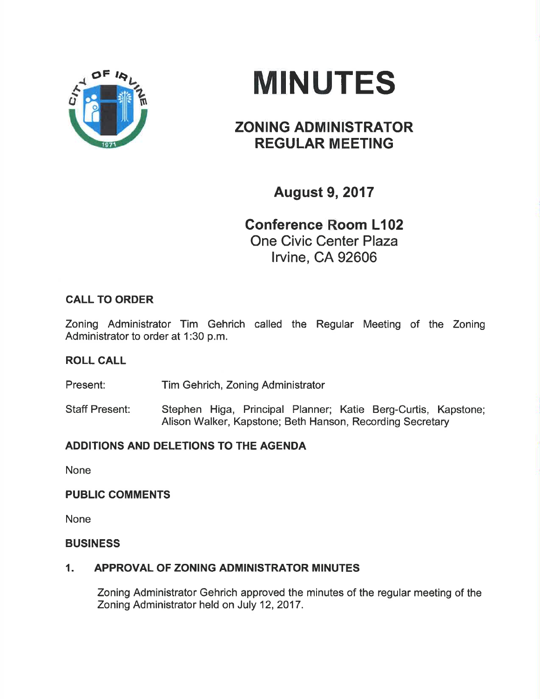

# **MINUTES**

# ZONING ADMINISTRATOR REGULAR MEETING

August 9,2017

Conference Room L102 One Civic Center Plaza lrvine, CA 92606

# CALL TO ORDER

Zoning Administrator Tim Gehrich called the Regular Meeting of the Zoning Administrator to order at 1:30 p.m.

# ROLL CALL

Present: Tim Gehrich, Zoning Administrator

Staff Present: Stephen Higa, Principal Planner; Katie Berg-Curtis, Kapstone; Alison Walker, Kapstone; Beth Hanson, Recording Secretary

# ADDITIONS AND DELETIONS TO THE AGENDA

None

# PUBLIC COMMENTS

None

#### **BUSINESS**

# 1. APPROVAL OF ZONING ADMINISTRATOR MINUTES

Zoning Administrator Gehrich approved the minutes of the regular meeting of the Zoning Administrator held on July 12,2017.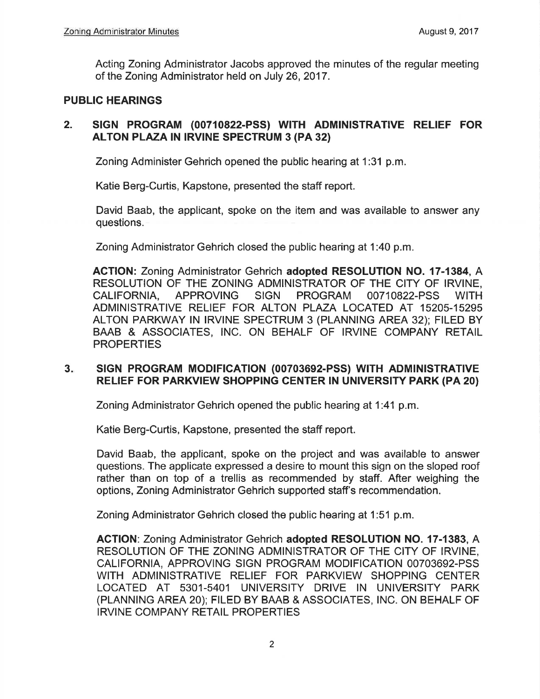Acting Zoning Administrator Jacobs approved the minutes of the regular meeting of the Zoning Administrator held on July 26,2017.

#### PUBLIC HEARINGS

### 2. SIGN PROGRAM (00710822-PSS) WITH ADMINISTRATIVE RELIEF FOR ALTON PLAZA IN IRVINE SPECTRUM 3 (PA 32)

Zoning Administer Gehrich opened the public hearing at 1:31 p.m.

Katie Berg-Curtis, Kapstone, presented the staff report.

David Baab, the applicant, spoke on the item and was available to answer any questions.

Zoning Administrator Gehrich closed the public hearing at 1:40 p.m

AGTION: Zoning Administrator Gehrich adopted RESOLUTION NO. 17-1384, A RESOLUTION OF THE ZONING ADMINISTRATOR OF THE CITY OF IRVINE, CALIFORNIA, APPROVING SIGN PROGRAM 0071O822-PSS WITH ADMINISTRATIVE RELIEF FOR ALTON PLAZA LOCATED AT 15205-15295 ALTON PARKWAY IN IRVINE SPECTRUM 3 (PLANNING AREA 32); FILED BY BAAB & ASSOCIATES, INC. ON BEHALF OF IRVINE COMPANY RETAIL **PROPERTIES** 

#### 3. SIGN PROGRAM MODIFICATION (00703692-PSS) WITH ADMINISTRATIVE RELIEF FOR PARKVIEW SHOPPING CENTER IN UNIVERSITY PARK (PA 20)

Zoning Administrator Gehrich opened the public hearing at 1:41 p.m.

Katie Berg-Curtis, Kapstone, presented the staff report.

David Baab, the applicant, spoke on the project and was available to answer questions. The applicate expressed a desire to mount this sign on the sloped roof rather than on top of a trellis as recommended by staff. After weighing the options, Zoning Administrator Gehrich supported staff's recommendation.

Zoning Administrator Gehrich closed the public hearing at 1:51 p.m.

ACTION: Zoning Administrator Gehrich adopted RESOLUTION NO. 17-1383, A RESOLUTION OF THE ZONING ADMINISTRATOR OF THE CITY OF IRVINE, CALIFORNIA, APPROVING SIGN PROGRAM MODIFICATION 00703692-PSS WITH ADMINISTRATIVE RELIEF FOR PARKVIEW SHOPPING CENTER LOCATED AT 5301-5401 UNIVERSITY DRIVE IN UNIVERSITY PARK (PLANNING AREA 20); FILED BY BAAB & ASEOCIATES, lNC. ON BEHALF OF IRVINE COMPANY RETAIL PROPERTIES